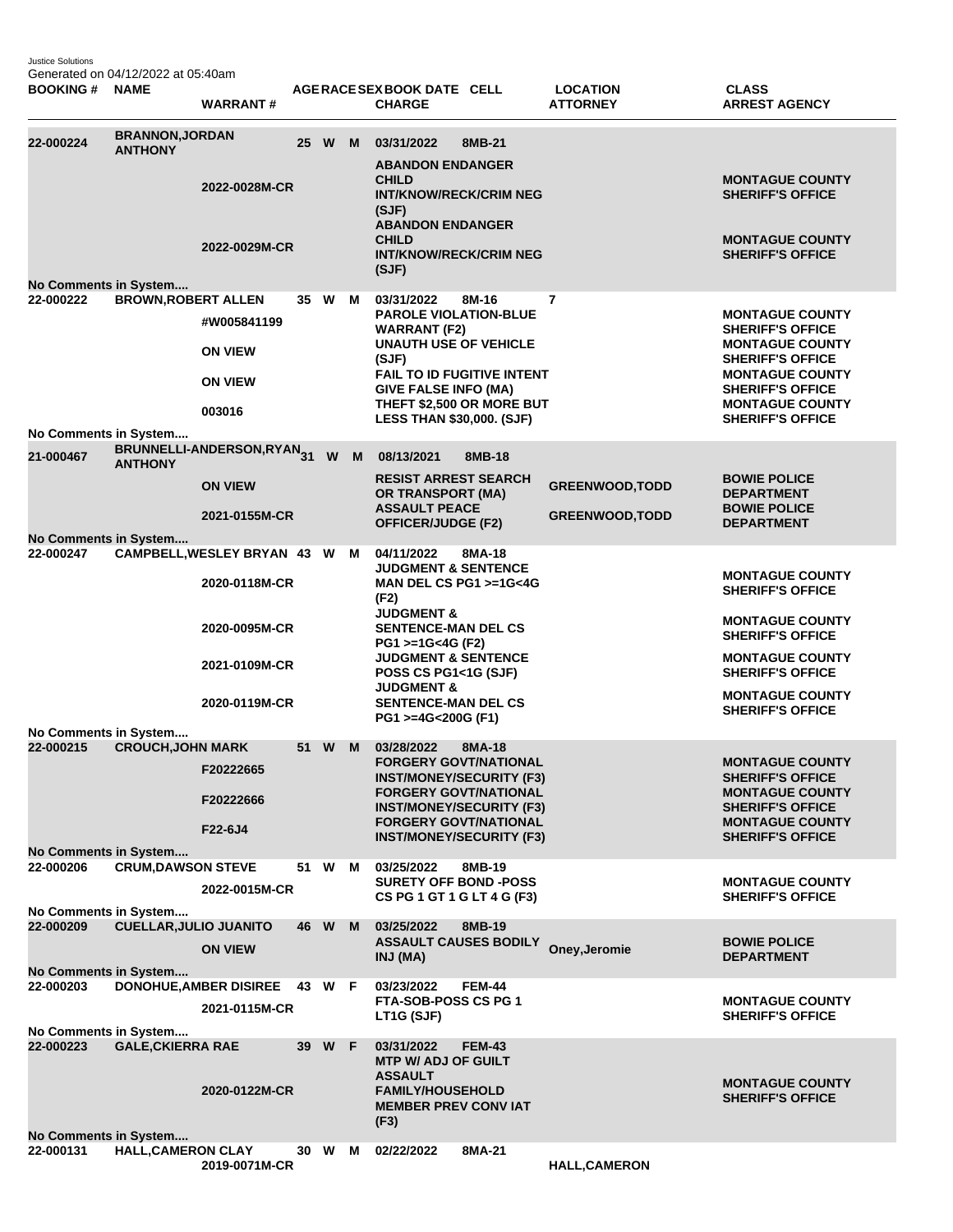Justice Solutions Generated on 04/12/2022 at 05:40am

| <b>BOOKING #</b> | <b>NAME</b>                                                                | <b>WARRANT#</b>                                                                                   |          |   | AGERACE SEX BOOK DATE CELL<br><b>CHARGE</b>                                                                                                                                                                                                                                                      |               | <b>LOCATION</b><br><b>ATTORNEY</b>               | <b>CLASS</b><br><b>ARREST AGENCY</b>                                                                                                                                                                             |  |
|------------------|----------------------------------------------------------------------------|---------------------------------------------------------------------------------------------------|----------|---|--------------------------------------------------------------------------------------------------------------------------------------------------------------------------------------------------------------------------------------------------------------------------------------------------|---------------|--------------------------------------------------|------------------------------------------------------------------------------------------------------------------------------------------------------------------------------------------------------------------|--|
| 22-000224        | <b>BRANNON, JORDAN</b><br><b>ANTHONY</b><br>No Comments in System          | 2022-0028M-CR<br>2022-0029M-CR                                                                    | 25 W M   |   | 03/31/2022<br><b>ABANDON ENDANGER</b><br><b>CHILD</b><br><b>INT/KNOW/RECK/CRIM NEG</b><br>(SJF)<br><b>ABANDON ENDANGER</b><br><b>CHILD</b><br><b>INT/KNOW/RECK/CRIM NEG</b><br>(SJF)                                                                                                             | 8MB-21        |                                                  | <b>MONTAGUE COUNTY</b><br><b>SHERIFF'S OFFICE</b><br><b>MONTAGUE COUNTY</b><br><b>SHERIFF'S OFFICE</b>                                                                                                           |  |
| 22-000222        | <b>BROWN, ROBERT ALLEN</b>                                                 | #W005841199<br><b>ON VIEW</b><br><b>ON VIEW</b><br>003016                                         | 35 W     | M | 03/31/2022<br><b>PAROLE VIOLATION-BLUE</b><br><b>WARRANT (F2)</b><br><b>UNAUTH USE OF VEHICLE</b><br>(SJF)<br><b>FAIL TO ID FUGITIVE INTENT</b><br><b>GIVE FALSE INFO (MA)</b><br>THEFT \$2,500 OR MORE BUT<br><b>LESS THAN \$30,000. (SJF)</b>                                                  | 8M-16         | 7                                                | <b>MONTAGUE COUNTY</b><br><b>SHERIFF'S OFFICE</b><br><b>MONTAGUE COUNTY</b><br><b>SHERIFF'S OFFICE</b><br><b>MONTAGUE COUNTY</b><br><b>SHERIFF'S OFFICE</b><br><b>MONTAGUE COUNTY</b><br><b>SHERIFF'S OFFICE</b> |  |
| 21-000467        | No Comments in System<br><b>ANTHONY</b><br>No Comments in System           | BRUNNELLI-ANDERSON, RYAN <sub>31</sub><br><b>ON VIEW</b><br>2021-0155M-CR                         | <b>W</b> | M | 08/13/2021<br><b>RESIST ARREST SEARCH</b><br><b>OR TRANSPORT (MA)</b><br><b>ASSAULT PEACE</b><br><b>OFFICER/JUDGE (F2)</b>                                                                                                                                                                       | 8MB-18        | <b>GREENWOOD, TODD</b><br><b>GREENWOOD, TODD</b> | <b>BOWIE POLICE</b><br><b>DEPARTMENT</b><br><b>BOWIE POLICE</b><br><b>DEPARTMENT</b>                                                                                                                             |  |
| 22-000247        |                                                                            | CAMPBELL, WESLEY BRYAN 43 W M<br>2020-0118M-CR<br>2020-0095M-CR<br>2021-0109M-CR<br>2020-0119M-CR |          |   | 04/11/2022<br><b>JUDGMENT &amp; SENTENCE</b><br>MAN DEL CS PG1 >=1G<4G<br>(F2)<br><b>JUDGMENT &amp;</b><br><b>SENTENCE-MAN DEL CS</b><br>PG1 >=1G<4G (F2)<br><b>JUDGMENT &amp; SENTENCE</b><br>POSS CS PG1<1G (SJF)<br><b>JUDGMENT &amp;</b><br><b>SENTENCE-MAN DEL CS</b><br>PG1 >=4G<200G (F1) | 8MA-18        |                                                  | <b>MONTAGUE COUNTY</b><br><b>SHERIFF'S OFFICE</b><br><b>MONTAGUE COUNTY</b><br><b>SHERIFF'S OFFICE</b><br><b>MONTAGUE COUNTY</b><br><b>SHERIFF'S OFFICE</b><br><b>MONTAGUE COUNTY</b><br><b>SHERIFF'S OFFICE</b> |  |
| 22-000215        | No Comments in System<br><b>CROUCH, JOHN MARK</b><br>No Comments in System | F20222665<br>F20222666<br>F22-6J4                                                                 | 51 W     | M | 03/28/2022<br><b>FORGERY GOVT/NATIONAL</b><br><b>INST/MONEY/SECURITY (F3)</b><br><b>FORGERY GOVT/NATIONAL</b><br><b>INST/MONEY/SECURITY (F3)</b><br><b>FORGERY GOVT/NATIONAL</b><br><b>INST/MONEY/SECURITY (F3)</b>                                                                              | 8MA-18        |                                                  | <b>MONTAGUE COUNTY</b><br><b>SHERIFF'S OFFICE</b><br><b>MONTAGUE COUNTY</b><br><b>SHERIFF'S OFFICE</b><br><b>MONTAGUE COUNTY</b><br><b>SHERIFF'S OFFICE</b>                                                      |  |
| 22-000206        | <b>CRUM, DAWSON STEVE</b><br>No Comments in System                         | 2022-0015M-CR                                                                                     | 51 W     | M | 03/25/2022<br><b>SURETY OFF BOND -POSS</b><br>CS PG 1 GT 1 G LT 4 G (F3)                                                                                                                                                                                                                         | 8MB-19        |                                                  | <b>MONTAGUE COUNTY</b><br><b>SHERIFF'S OFFICE</b>                                                                                                                                                                |  |
| 22-000209        | <b>CUELLAR, JULIO JUANITO</b><br>No Comments in System                     | <b>ON VIEW</b>                                                                                    | 46 W M   |   | 03/25/2022<br><b>ASSAULT CAUSES BODILY</b><br>INJ (MA)                                                                                                                                                                                                                                           | 8MB-19        | Oney, Jeromie                                    | <b>BOWIE POLICE</b><br><b>DEPARTMENT</b>                                                                                                                                                                         |  |
| 22-000203        | No Comments in System                                                      | DONOHUE, AMBER DISIREE 43 W F<br>2021-0115M-CR                                                    |          |   | 03/23/2022<br>FTA-SOB-POSS CS PG 1<br>LT1G (SJF)                                                                                                                                                                                                                                                 | <b>FEM-44</b> |                                                  | <b>MONTAGUE COUNTY</b><br><b>SHERIFF'S OFFICE</b>                                                                                                                                                                |  |
| 22-000223        | <b>GALE, CKIERRA RAE</b><br>No Comments in System                          | 2020-0122M-CR                                                                                     | 39 W F   |   | 03/31/2022<br><b>MTP W/ ADJ OF GUILT</b><br><b>ASSAULT</b><br><b>FAMILY/HOUSEHOLD</b><br><b>MEMBER PREV CONVIAT</b><br>(F3)                                                                                                                                                                      | <b>FEM-43</b> |                                                  | <b>MONTAGUE COUNTY</b><br><b>SHERIFF'S OFFICE</b>                                                                                                                                                                |  |
| 22-000131        | <b>HALL, CAMERON CLAY</b>                                                  | 2019-0071M-CR                                                                                     | 30 W     | M | 02/22/2022                                                                                                                                                                                                                                                                                       | 8MA-21        | <b>HALL, CAMERON</b>                             |                                                                                                                                                                                                                  |  |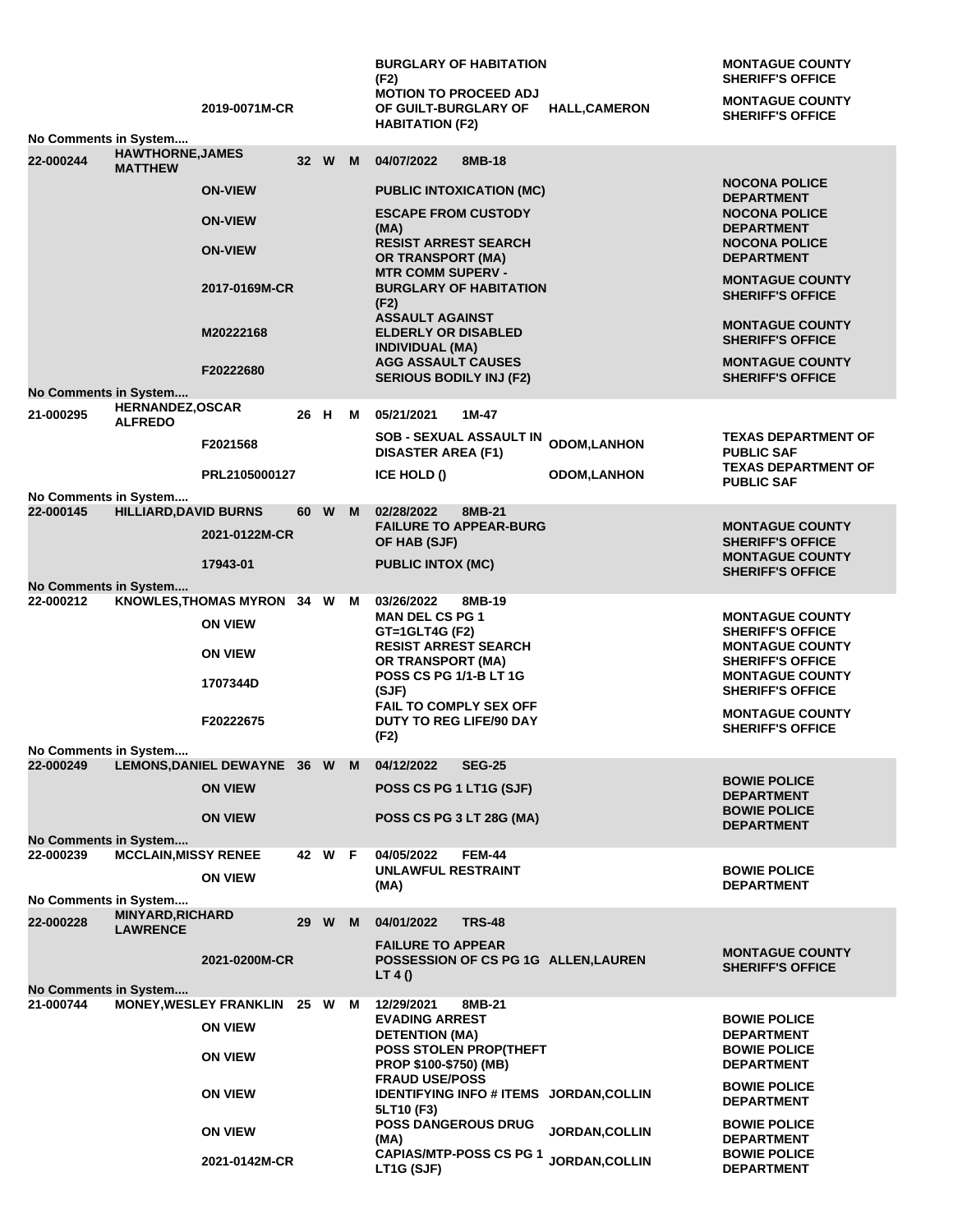|                                           |                                           |                                                |      |        |   | <b>BURGLARY OF HABITATION</b><br>(F2)                                                 |                       | <b>MONTAGUE COUNTY</b><br><b>SHERIFF'S OFFICE</b>                      |
|-------------------------------------------|-------------------------------------------|------------------------------------------------|------|--------|---|---------------------------------------------------------------------------------------|-----------------------|------------------------------------------------------------------------|
|                                           |                                           | 2019-0071M-CR                                  |      |        |   | <b>MOTION TO PROCEED ADJ</b><br>OF GUILT-BURGLARY OF                                  | <b>HALL,CAMERON</b>   | <b>MONTAGUE COUNTY</b><br><b>SHERIFF'S OFFICE</b>                      |
| No Comments in System                     |                                           |                                                |      |        |   | <b>HABITATION (F2)</b>                                                                |                       |                                                                        |
| 22-000244                                 | <b>HAWTHORNE, JAMES</b><br><b>MATTHEW</b> |                                                |      | 32 W   | M | 04/07/2022<br>8MB-18                                                                  |                       |                                                                        |
|                                           |                                           | <b>ON-VIEW</b>                                 |      |        |   | <b>PUBLIC INTOXICATION (MC)</b>                                                       |                       | <b>NOCONA POLICE</b><br><b>DEPARTMENT</b>                              |
|                                           |                                           | <b>ON-VIEW</b><br><b>ON-VIEW</b>               |      |        |   | <b>ESCAPE FROM CUSTODY</b><br>(MA)<br><b>RESIST ARREST SEARCH</b>                     |                       | <b>NOCONA POLICE</b><br><b>DEPARTMENT</b><br><b>NOCONA POLICE</b>      |
|                                           |                                           | 2017-0169M-CR                                  |      |        |   | <b>OR TRANSPORT (MA)</b><br><b>MTR COMM SUPERV -</b><br><b>BURGLARY OF HABITATION</b> |                       | <b>DEPARTMENT</b><br><b>MONTAGUE COUNTY</b><br><b>SHERIFF'S OFFICE</b> |
|                                           |                                           |                                                |      |        |   | (F2)<br><b>ASSAULT AGAINST</b>                                                        |                       | <b>MONTAGUE COUNTY</b>                                                 |
|                                           |                                           | M20222168                                      |      |        |   | <b>ELDERLY OR DISABLED</b><br><b>INDIVIDUAL (MA)</b>                                  |                       | <b>SHERIFF'S OFFICE</b>                                                |
|                                           |                                           | F20222680                                      |      |        |   | <b>AGG ASSAULT CAUSES</b><br><b>SERIOUS BODILY INJ (F2)</b>                           |                       | <b>MONTAGUE COUNTY</b><br><b>SHERIFF'S OFFICE</b>                      |
| No Comments in System                     | HERNANDEZ, OSCAR                          |                                                |      |        |   |                                                                                       |                       |                                                                        |
| 21-000295                                 | <b>ALFREDO</b>                            |                                                | 26 H |        | м | 05/21/2021<br>1M-47                                                                   |                       |                                                                        |
|                                           |                                           | F2021568                                       |      |        |   | <b>SOB - SEXUAL ASSAULT IN</b><br><b>DISASTER AREA (F1)</b>                           | <b>ODOM,LANHON</b>    | <b>TEXAS DEPARTMENT OF</b><br><b>PUBLIC SAF</b>                        |
|                                           |                                           | PRL2105000127                                  |      |        |   | ICE HOLD ()                                                                           | <b>ODOM, LANHON</b>   | <b>TEXAS DEPARTMENT OF</b><br><b>PUBLIC SAF</b>                        |
| No Comments in System<br>22-000145        | <b>HILLIARD, DAVID BURNS</b>              |                                                |      | 60 W   | M | 02/28/2022<br>8MB-21                                                                  |                       |                                                                        |
|                                           |                                           | 2021-0122M-CR                                  |      |        |   | <b>FAILURE TO APPEAR-BURG</b><br>OF HAB (SJF)                                         |                       | <b>MONTAGUE COUNTY</b><br><b>SHERIFF'S OFFICE</b>                      |
|                                           |                                           | 17943-01                                       |      |        |   | <b>PUBLIC INTOX (MC)</b>                                                              |                       | <b>MONTAGUE COUNTY</b><br><b>SHERIFF'S OFFICE</b>                      |
| No Comments in System                     |                                           |                                                |      |        |   |                                                                                       |                       |                                                                        |
| 22-000212                                 |                                           | KNOWLES, THOMAS MYRON 34 W M<br><b>ON VIEW</b> |      |        |   | 03/26/2022<br>8MB-19<br><b>MAN DEL CS PG 1</b>                                        |                       | <b>MONTAGUE COUNTY</b>                                                 |
|                                           |                                           | <b>ON VIEW</b>                                 |      |        |   | GT=1GLT4G (F2)<br><b>RESIST ARREST SEARCH</b>                                         |                       | <b>SHERIFF'S OFFICE</b><br><b>MONTAGUE COUNTY</b>                      |
|                                           |                                           | 1707344D                                       |      |        |   | OR TRANSPORT (MA)<br><b>POSS CS PG 1/1-B LT 1G</b>                                    |                       | <b>SHERIFF'S OFFICE</b><br><b>MONTAGUE COUNTY</b>                      |
|                                           |                                           |                                                |      |        |   | (SJF)<br>FAIL TO COMPLY SEX OFF                                                       |                       | <b>SHERIFF'S OFFICE</b><br><b>MONTAGUE COUNTY</b>                      |
|                                           |                                           | F20222675                                      |      |        |   | DUTY TO REG LIFE/90 DAY<br>(F2)                                                       |                       | <b>SHERIFF'S OFFICE</b>                                                |
| No Comments in System<br>22-000249        |                                           | LEMONS, DANIEL DEWAYNE 36 W M 04/12/2022       |      |        |   | <b>SEG-25</b>                                                                         |                       |                                                                        |
|                                           |                                           | <b>ON VIEW</b>                                 |      |        |   | POSS CS PG 1 LT1G (SJF)                                                               |                       | <b>BOWIE POLICE</b><br><b>DEPARTMENT</b>                               |
|                                           |                                           | <b>ON VIEW</b>                                 |      |        |   | POSS CS PG 3 LT 28G (MA)                                                              |                       | <b>BOWIE POLICE</b><br><b>DEPARTMENT</b>                               |
| No Comments in System                     |                                           |                                                |      |        |   |                                                                                       |                       |                                                                        |
| 22-000239                                 | <b>MCCLAIN, MISSY RENEE</b>               | <b>ON VIEW</b>                                 |      | 42 W F |   | 04/05/2022<br><b>FEM-44</b><br><b>UNLAWFUL RESTRAINT</b><br>(MA)                      |                       | <b>BOWIE POLICE</b><br><b>DEPARTMENT</b>                               |
| No Comments in System                     | <b>MINYARD, RICHARD</b>                   |                                                |      |        |   |                                                                                       |                       |                                                                        |
| 22-000228                                 | <b>LAWRENCE</b>                           |                                                |      | 29 W M |   | 04/01/2022<br><b>TRS-48</b>                                                           |                       |                                                                        |
|                                           |                                           | 2021-0200M-CR                                  |      |        |   | <b>FAILURE TO APPEAR</b><br>POSSESSION OF CS PG 1G ALLEN, LAUREN<br>LT 4 $()$         |                       | <b>MONTAGUE COUNTY</b><br><b>SHERIFF'S OFFICE</b>                      |
| <b>No Comments in System</b><br>21-000744 |                                           | MONEY, WESLEY FRANKLIN 25 W M                  |      |        |   | 12/29/2021<br>8MB-21                                                                  |                       |                                                                        |
|                                           |                                           | <b>ON VIEW</b>                                 |      |        |   | <b>EVADING ARREST</b><br><b>DETENTION (MA)</b>                                        |                       | <b>BOWIE POLICE</b><br><b>DEPARTMENT</b>                               |
|                                           |                                           | <b>ON VIEW</b>                                 |      |        |   | <b>POSS STOLEN PROP(THEFT</b><br><b>PROP \$100-\$750) (MB)</b>                        |                       | <b>BOWIE POLICE</b><br><b>DEPARTMENT</b>                               |
|                                           |                                           | <b>ON VIEW</b>                                 |      |        |   | <b>FRAUD USE/POSS</b><br>IDENTIFYING INFO # ITEMS JORDAN, COLLIN<br>5LT10 (F3)        |                       | <b>BOWIE POLICE</b><br><b>DEPARTMENT</b>                               |
|                                           |                                           | <b>ON VIEW</b>                                 |      |        |   | <b>POSS DANGEROUS DRUG</b><br>(MA)                                                    | <b>JORDAN, COLLIN</b> | <b>BOWIE POLICE</b><br><b>DEPARTMENT</b>                               |
|                                           |                                           | 2021-0142M-CR                                  |      |        |   | <b>CAPIAS/MTP-POSS CS PG 1</b><br>LT1G (SJF)                                          | <b>JORDAN, COLLIN</b> | <b>BOWIE POLICE</b><br><b>DEPARTMENT</b>                               |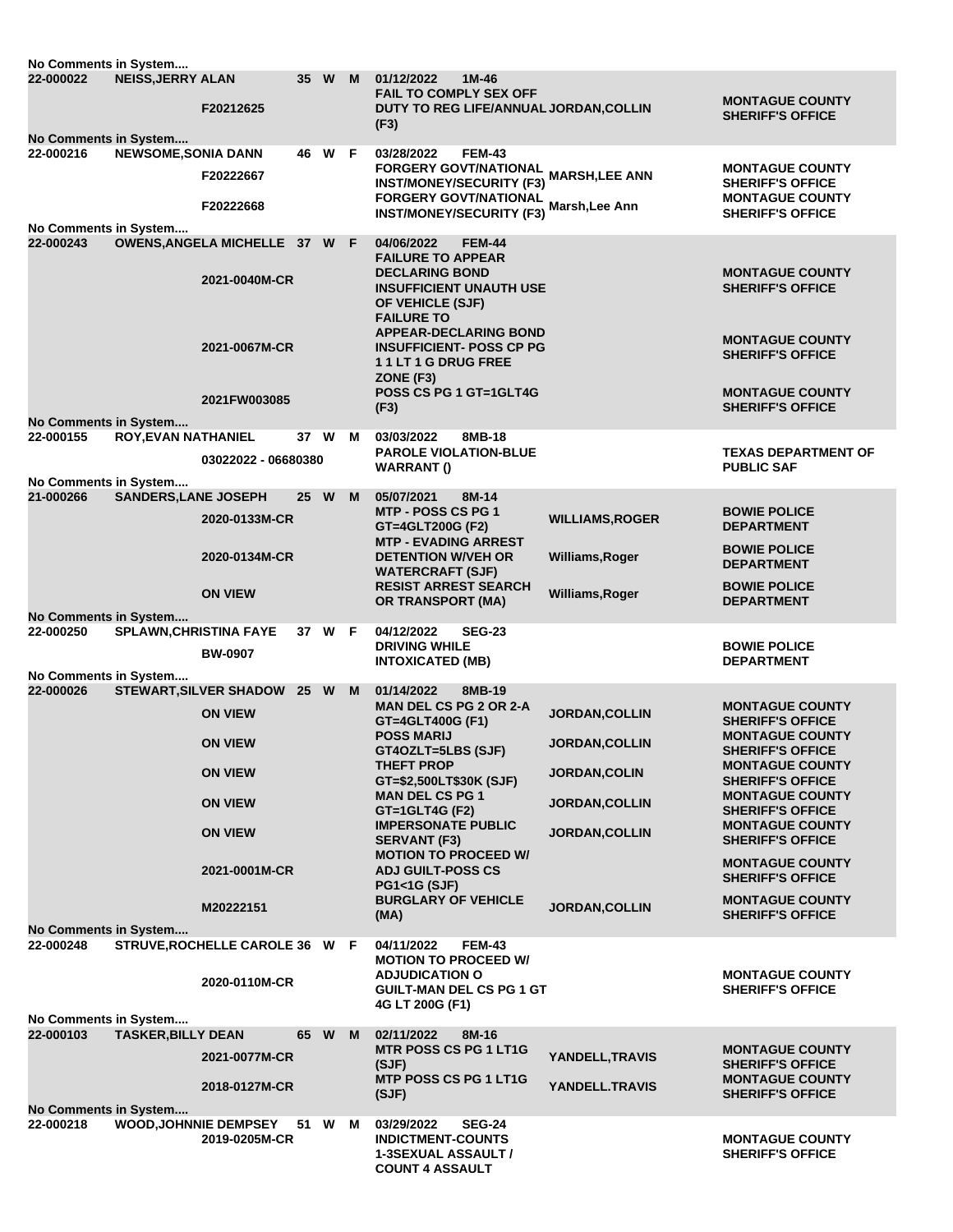| No Comments in System                                                                            |                               |                                                |      |        |   |                                                                                                         |                        |                                                                              |  |  |
|--------------------------------------------------------------------------------------------------|-------------------------------|------------------------------------------------|------|--------|---|---------------------------------------------------------------------------------------------------------|------------------------|------------------------------------------------------------------------------|--|--|
| 22-000022                                                                                        | <b>NEISS, JERRY ALAN</b>      | F20212625                                      |      | 35 W   | M | 01/12/2022<br>1M-46<br><b>FAIL TO COMPLY SEX OFF</b><br>DUTY TO REG LIFE/ANNUAL JORDAN, COLLIN<br>(F3)  |                        | <b>MONTAGUE COUNTY</b><br><b>SHERIFF'S OFFICE</b>                            |  |  |
| No Comments in System                                                                            |                               |                                                |      |        |   |                                                                                                         |                        |                                                                              |  |  |
| 22-000216                                                                                        | NEWSOME, SONIA DANN           | F20222667                                      |      | 46 W F |   | 03/28/2022<br><b>FEM-43</b><br>FORGERY GOVT/NATIONAL                                                    | <b>MARSH,LEE ANN</b>   | <b>MONTAGUE COUNTY</b>                                                       |  |  |
|                                                                                                  |                               | F20222668                                      |      |        |   | <b>INST/MONEY/SECURITY (F3)</b><br><b>FORGERY GOVT/NATIONAL</b><br><b>INST/MONEY/SECURITY (F3)</b>      | Marsh, Lee Ann         | <b>SHERIFF'S OFFICE</b><br><b>MONTAGUE COUNTY</b><br><b>SHERIFF'S OFFICE</b> |  |  |
| No Comments in System                                                                            |                               |                                                |      |        |   |                                                                                                         |                        |                                                                              |  |  |
| 22-000243                                                                                        |                               | OWENS, ANGELA MICHELLE 37 W F<br>2021-0040M-CR |      |        |   | 04/06/2022<br><b>FEM-44</b><br><b>FAILURE TO APPEAR</b><br><b>DECLARING BOND</b>                        |                        | <b>MONTAGUE COUNTY</b>                                                       |  |  |
|                                                                                                  |                               |                                                |      |        |   | <b>INSUFFICIENT UNAUTH USE</b><br>OF VEHICLE (SJF)<br><b>FAILURE TO</b><br><b>APPEAR-DECLARING BOND</b> |                        | <b>SHERIFF'S OFFICE</b>                                                      |  |  |
|                                                                                                  |                               | 2021-0067M-CR                                  |      |        |   | <b>INSUFFICIENT- POSS CP PG</b><br>11LT1GDRUGFREE<br>ZONE (F3)                                          |                        | <b>MONTAGUE COUNTY</b><br><b>SHERIFF'S OFFICE</b>                            |  |  |
|                                                                                                  |                               | 2021FW003085                                   |      |        |   | POSS CS PG 1 GT=1GLT4G<br>(F3)                                                                          |                        | <b>MONTAGUE COUNTY</b><br><b>SHERIFF'S OFFICE</b>                            |  |  |
| No Comments in System<br>22-000155                                                               | <b>ROY, EVAN NATHANIEL</b>    |                                                |      | 37 W   | M | 03/03/2022<br>8MB-18                                                                                    |                        |                                                                              |  |  |
|                                                                                                  |                               | 03022022 - 06680380                            |      |        |   | <b>PAROLE VIOLATION-BLUE</b><br><b>WARRANT()</b>                                                        |                        | <b>TEXAS DEPARTMENT OF</b><br><b>PUBLIC SAF</b>                              |  |  |
| No Comments in System                                                                            |                               |                                                |      |        |   |                                                                                                         |                        |                                                                              |  |  |
| 21-000266                                                                                        | <b>SANDERS, LANE JOSEPH</b>   | 2020-0133M-CR                                  | 25 W |        | M | 8M-14<br>05/07/2021<br><b>MTP - POSS CS PG 1</b><br>GT=4GLT200G (F2)                                    | <b>WILLIAMS, ROGER</b> | <b>BOWIE POLICE</b><br><b>DEPARTMENT</b>                                     |  |  |
|                                                                                                  |                               | 2020-0134M-CR                                  |      |        |   | <b>MTP - EVADING ARREST</b><br><b>DETENTION W/VEH OR</b><br><b>WATERCRAFT (SJF)</b>                     | Williams, Roger        | <b>BOWIE POLICE</b><br><b>DEPARTMENT</b>                                     |  |  |
|                                                                                                  |                               | <b>ON VIEW</b>                                 |      |        |   | <b>RESIST ARREST SEARCH</b><br><b>OR TRANSPORT (MA)</b>                                                 | Williams, Roger        | <b>BOWIE POLICE</b><br><b>DEPARTMENT</b>                                     |  |  |
| No Comments in System                                                                            |                               |                                                |      |        |   |                                                                                                         |                        |                                                                              |  |  |
| 22-000250                                                                                        | <b>SPLAWN, CHRISTINA FAYE</b> | <b>BW-0907</b>                                 |      | 37 W F |   | 04/12/2022<br><b>SEG-23</b><br><b>DRIVING WHILE</b><br><b>INTOXICATED (MB)</b>                          |                        | <b>BOWIE POLICE</b><br><b>DEPARTMENT</b>                                     |  |  |
| No Comments in System                                                                            |                               |                                                |      |        |   |                                                                                                         |                        |                                                                              |  |  |
| 22-000026                                                                                        |                               | STEWART, SILVER SHADOW 25 W M                  |      |        |   | 01/14/2022<br>8MB-19<br><b>MAN DEL CS PG 2 OR 2-A</b>                                                   |                        | <b>MONTAGUE COUNTY</b>                                                       |  |  |
|                                                                                                  |                               | <b>ON VIEW</b>                                 |      |        |   | GT=4GLT400G (F1)<br><b>POSS MARIJ</b>                                                                   | JORDAN, COLLIN         | <b>SHERIFF'S OFFICE</b><br><b>MONTAGUE COUNTY</b>                            |  |  |
|                                                                                                  |                               | <b>ON VIEW</b>                                 |      |        |   | GT4OZLT=5LBS (SJF)<br><b>THEFT PROP</b>                                                                 | JORDAN, COLLIN         | <b>SHERIFF'S OFFICE</b><br><b>MONTAGUE COUNTY</b>                            |  |  |
|                                                                                                  |                               | <b>ON VIEW</b>                                 |      |        |   | GT=\$2,500LT\$30K (SJF)<br><b>MAN DEL CS PG 1</b>                                                       | JORDAN, COLIN          | <b>SHERIFF'S OFFICE</b><br><b>MONTAGUE COUNTY</b>                            |  |  |
|                                                                                                  |                               | <b>ON VIEW</b>                                 |      |        |   | GT=1GLT4G (F2)<br><b>IMPERSONATE PUBLIC</b>                                                             | <b>JORDAN, COLLIN</b>  | <b>SHERIFF'S OFFICE</b><br><b>MONTAGUE COUNTY</b>                            |  |  |
|                                                                                                  |                               | <b>ON VIEW</b>                                 |      |        |   | <b>SERVANT (F3)</b><br><b>MOTION TO PROCEED W/</b>                                                      | <b>JORDAN, COLLIN</b>  | <b>SHERIFF'S OFFICE</b><br><b>MONTAGUE COUNTY</b>                            |  |  |
|                                                                                                  |                               | 2021-0001M-CR                                  |      |        |   | <b>ADJ GUILT-POSS CS</b><br><b>PG1&lt;1G (SJF)</b>                                                      |                        | <b>SHERIFF'S OFFICE</b>                                                      |  |  |
| No Comments in System                                                                            |                               | M20222151                                      |      |        |   | <b>BURGLARY OF VEHICLE</b><br>(MA)                                                                      | JORDAN, COLLIN         | <b>MONTAGUE COUNTY</b><br><b>SHERIFF'S OFFICE</b>                            |  |  |
| 22-000248                                                                                        |                               | STRUVE, ROCHELLE CAROLE 36 W F                 |      |        |   | 04/11/2022<br><b>FEM-43</b><br><b>MOTION TO PROCEED W/</b>                                              |                        |                                                                              |  |  |
|                                                                                                  |                               | 2020-0110M-CR                                  |      |        |   | <b>ADJUDICATION O</b><br><b>GUILT-MAN DEL CS PG 1 GT</b><br>4G LT 200G (F1)                             |                        | <b>MONTAGUE COUNTY</b><br><b>SHERIFF'S OFFICE</b>                            |  |  |
| No Comments in System<br>22-000103<br><b>TASKER, BILLY DEAN</b><br>65 W M<br>02/11/2022<br>8M-16 |                               |                                                |      |        |   |                                                                                                         |                        |                                                                              |  |  |
|                                                                                                  |                               | 2021-0077M-CR                                  |      |        |   | <b>MTR POSS CS PG 1 LT1G</b>                                                                            | YANDELL, TRAVIS        | <b>MONTAGUE COUNTY</b>                                                       |  |  |
|                                                                                                  |                               | 2018-0127M-CR                                  |      |        |   | (SJF)<br><b>MTP POSS CS PG 1 LT1G</b><br>(SJF)                                                          | YANDELL.TRAVIS         | <b>SHERIFF'S OFFICE</b><br><b>MONTAGUE COUNTY</b><br><b>SHERIFF'S OFFICE</b> |  |  |
| No Comments in System<br>22-000218                                                               |                               | <b>WOOD, JOHNNIE DEMPSEY</b>                   |      | 51 W M |   | <b>SEG-24</b><br>03/29/2022                                                                             |                        |                                                                              |  |  |
|                                                                                                  |                               | 2019-0205M-CR                                  |      |        |   | <b>INDICTMENT-COUNTS</b><br><b>1-3SEXUAL ASSAULT /</b><br><b>COUNT 4 ASSAULT</b>                        |                        | <b>MONTAGUE COUNTY</b><br><b>SHERIFF'S OFFICE</b>                            |  |  |